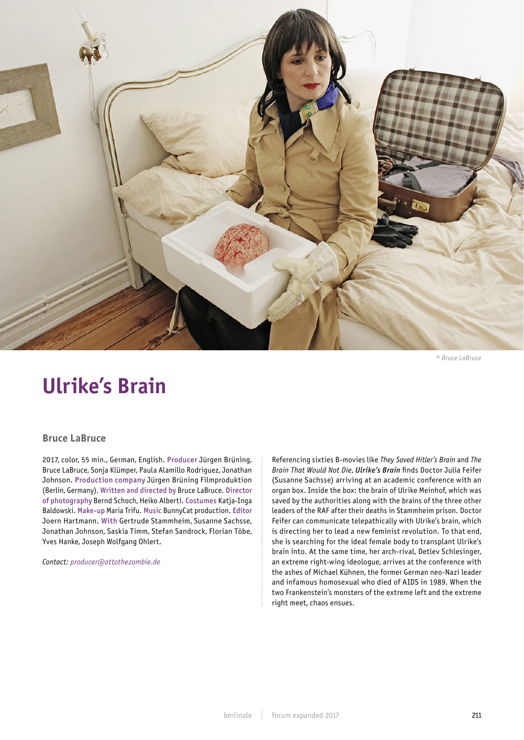

*© Bruce LaBruce*

## **Ulrike's Brain**

## **Bruce LaBruce**

2017, color, 55 min., German, English. Producer Jürgen Brüning, Bruce LaBruce, Sonja Klümper, Paula Alamillo Rodriguez, Jonathan Johnson. Production company Jürgen Brüning Filmproduktion (Berlin, Germany). Written and directed by Bruce LaBruce. Director of photography Bernd Schoch, Heiko Alberti. Costumes Katja-Inga Baldowski. Make-up Maria Trifu. Music BunnyCat production. Editor Joern Hartmann. With Gertrude Stammheim, Susanne Sachsse, Jonathan Johnson, Saskia Timm, Stefan Sandrock, Florian Töbe, Yves Hanke, Joseph Wolfgang Ohlert.

*Contact: producer@ottothezombie.de*

Referencing sixties B-movies like *They Saved Hitler's Brain* and *The Brain That Would Not Die*, *Ulrike's Brain* finds Doctor Julia Feifer (Susanne Sachsse) arriving at an academic conference with an organ box. Inside the box: the brain of Ulrike Meinhof, which was saved by the authorities along with the brains of the three other leaders of the RAF after their deaths in Stammheim prison. Doctor Feifer can communicate telepathically with Ulrike's brain, which is directing her to lead a new feminist revolution. To that end, she is searching for the ideal female body to transplant Ulrike's brain into. At the same time, her arch-rival, Detlev Schlesinger, an extreme right-wing ideologue, arrives at the conference with the ashes of Michael Kühnen, the former German neo-Nazi leader and infamous homosexual who died of AIDS in 1989. When the two Frankenstein's monsters of the extreme left and the extreme right meet, chaos ensues.